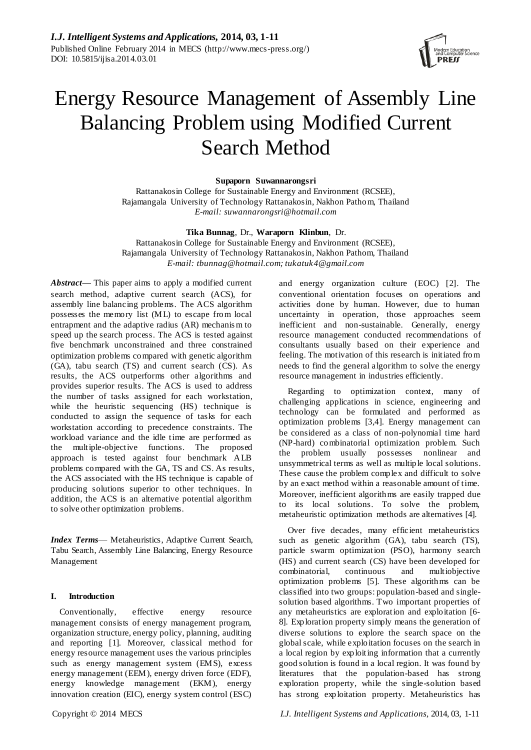

# Energy Resource Management of Assembly Line Balancing Problem using Modified Current Search Method

## **Supaporn Suwannarongsri**

Rattanakosin College for Sustainable Energy and Environment (RCSEE), Rajamangala University of Technology Rattanakosin, Nakhon Pathom, Thailand *E-mail: suwannarongsri@hotmail.com*

## **Tika Bunnag**, Dr., **Waraporn Klinbun**, Dr.

Rattanakosin College for Sustainable Energy and Environment (RCSEE), Rajamangala University of Technology Rattanakosin, Nakhon Pathom, Thailand *E-mail: tbunnag@hotmail.com; tukatuk4@gmail.com*

*Abstract***—** This paper aims to apply a modified current search method, adaptive current search (ACS), for assembly line balancing problems. The ACS algorithm possesses the memory list (ML) to escape from local entrapment and the adaptive radius (AR) mechanis m to speed up the search process. The ACS is tested against five benchmark unconstrained and three constrained optimization problems compared with genetic algorithm (GA), tabu search (TS) and current search (CS). As results, the ACS outperforms other algorithms and provides superior results. The ACS is used to address the number of tasks assigned for each workstation, while the heuristic sequencing (HS) technique is conducted to assign the sequence of tasks for each workstation according to precedence constraints. The workload variance and the idle time are performed as the multiple-objective functions. The proposed approach is tested against four benchmark ALB problems compared with the GA, TS and CS. As results, the ACS associated with the HS technique is capable of producing solutions superior to other techniques. In addition, the ACS is an alternative potential algorithm to solve other optimization problems.

*Index Terms*— Metaheuristics, Adaptive Current Search, Tabu Search, Assembly Line Balancing, Energy Resource Management

## **I. Introduction**

Conventionally, effective energy resource management consists of energy management program, organization structure, energy policy, planning, auditing and reporting [1]. Moreover, classical method for energy resource management uses the various principles such as energy management system (EMS), excess energy management (EEM), energy driven force (EDF), energy knowledge management (EKM), energy innovation creation (EIC), energy system control (ESC)

and energy organization culture (EOC) [2]. The conventional orientation focuses on operations and activities done by human. However, due to human uncertainty in operation, those approaches seem inefficient and non-sustainable. Generally, energy resource management conducted recommendations of consultants usually based on their experience and feeling. The motivation of this research is initiated from needs to find the general algorithm to solve the energy resource management in industries efficiently.

Regarding to optimization context, many of challenging applications in science, engineering and technology can be formulated and performed as optimization problems [3,4]. Energy management can be considered as a class of non-polynomial time hard (NP-hard) combinatorial optimization problem. Such the problem usually possesses nonlinear and unsymmetrical terms as well as multiple local solutions. These cause the problem complex and difficult to solve by an exact method within a reasonable amount of time. Moreover, inefficient algorithms are easily trapped due to its local solutions. To solve the problem, metaheuristic optimization methods are alternatives [4].

Over five decades, many efficient metaheuristics such as genetic algorithm (GA), tabu search (TS), particle swarm optimization (PSO), harmony search (HS) and current search (CS) have been developed for combinatorial, continuous and multiobjective optimization problems [5]. These algorithms can be classified into two groups: population-based and singlesolution based algorithms. Two important properties of any metaheuristics are exploration and exploitation [6- 8]. Exploration property simply means the generation of diverse solutions to explore the search space on the global scale, while exploitation focuses on the search in a local region by exploiting information that a currently good solution is found in a local region. It was found by literatures that the population-based has strong exploration property, while the single-solution based has strong exploitation property. Metaheuristics has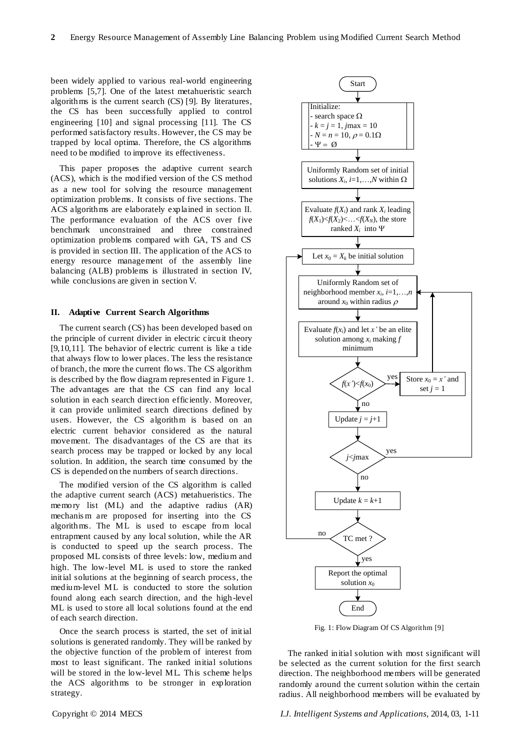been widely applied to various real-world engineering problems [5,7]. One of the latest metahueristic search algorithms is the current search (CS) [9]. By literatures, the CS has been successfully applied to control engineering [10] and signal processing [11]. The CS performed satisfactory results. However, the CS may be trapped by local optima. Therefore, the CS algorithms need to be modified to improve its effectiveness.

This paper proposes the adaptive current search (ACS), which is the modified version of the CS method as a new tool for solving the resource management optimization problems. It consists of five sections. The ACS algorithms are elaborately explained in section II. The performance evaluation of the ACS over five benchmark unconstrained and three constrained optimization problems compared with GA, TS and CS is provided in section III. The application of the ACS to energy resource management of the assembly line balancing (ALB) problems is illustrated in section IV, while conclusions are given in section V.

### **II. Adaptive Current Search Algorithms**

The current search (CS) has been developed based on the principle of current divider in electric circuit theory [9,10,11]. The behavior of electric current is like a tide that always flow to lower places. The less the resistance of branch, the more the current flows. The CS algorithm is described by the flow diagram represented in Figure 1. The advantages are that the CS can find any local solution in each search direction efficiently. Moreover, it can provide unlimited search directions defined by users. However, the CS algorithm is based on an electric current behavior considered as the natural movement. The disadvantages of the CS are that its search process may be trapped or locked by any local solution. In addition, the search time consumed by the CS is depended on the numbers of search directions.

The modified version of the CS algorithm is called the adaptive current search (ACS) metahueristics. The memory list (ML) and the adaptive radius (AR) mechanis m are proposed for inserting into the CS algorithms. The ML is used to escape from local entrapment caused by any local solution, while the AR is conducted to speed up the search process. The proposed ML consists of three levels: low, medium and high. The low-level ML is used to store the ranked initial solutions at the beginning of search process, the medium-level ML is conducted to store the solution found along each search direction, and the high-level ML is used to store all local solutions found at the end of each search direction.

Once the search process is started, the set of initial solutions is generated randomly. They will be ranked by the objective function of the problem of interest from most to least significant. The ranked initial solutions will be stored in the low-level ML. This scheme helps the ACS algorithms to be stronger in exploration strategy.



Fig. 1: Flow Diagram Of CS Algorithm [9]

The ranked initial solution with most significant will be selected as the current solution for the first search direction. The neighborhood members will be generated randomly around the current solution within the certain radius. All neighborhood members will be evaluated by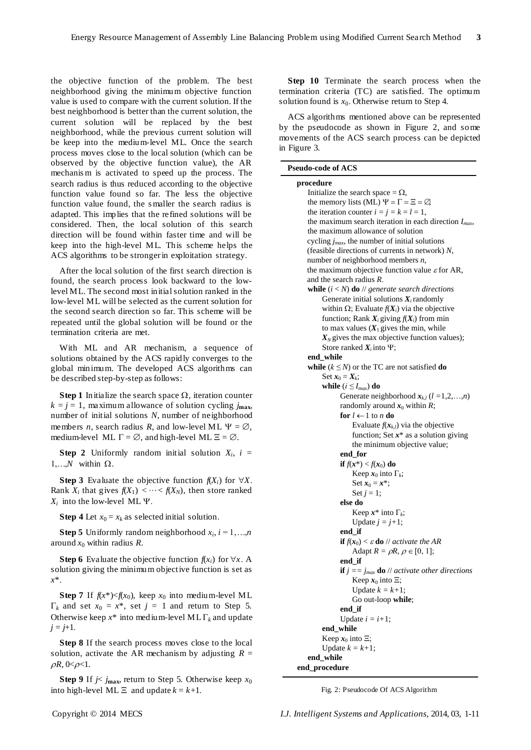the objective function of the problem. The best neighborhood giving the minimum objective function value is used to compare with the current solution. If the best neighborhood is better than the current solution, the current solution will be replaced by the best neighborhood, while the previous current solution will be keep into the medium-level ML. Once the search process moves close to the local solution (which can be observed by the objective function value), the AR mechanis m is activated to speed up the process. The search radius is thus reduced according to the objective function value found so far. The less the objective function value found, the s maller the search radius is adapted. This implies that the refined solutions will be considered. Then, the local solution of this search direction will be found within faster time and will be keep into the high-level ML. This scheme helps the ACS algorithms to be stronger in exploitation strategy.

After the local solution of the first search direction is found, the search process look backward to the lowlevel ML. The second most initial solution ranked in the low-level ML will be selected as the current solution for the second search direction so far. This scheme will be repeated until the global solution will be found or the termination criteria are met.

With ML and AR mechanism, a sequence of solutions obtained by the ACS rapidly converges to the global minimum. The developed ACS algorithms can be described step-by-step as follows:

**Step 1** Initialize the search space  $\Omega$ , iteration counter  $k = j = 1$ , maximum allowance of solution cycling  $j_{\text{max}}$ , number of initial solutions *N*, number of neighborhood members *n*, search radius *R*, and low-level ML  $\Psi = \emptyset$ , medium-level ML  $\Gamma = \emptyset$ , and high-level ML  $\Xi = \emptyset$ .

**Step 2** Uniformly random initial solution  $X_i$ ,  $i =$  $1,...,N$  within  $\Omega$ .

**Step 3** Evaluate the objective function  $f(X_i)$  for  $\forall X$ . Rank  $X_i$  that gives  $f(X_1) < \cdots < f(X_N)$ , then store ranked  $X_i$  into the low-level ML  $\Psi$ .

**Step 4** Let  $x_0 = x_k$  as selected initial solution.

**Step 5** Uniformly random neighborhood  $x_i$ ,  $i = 1,...,n$ around  $x_0$  within radius  $R$ .

**Step 6** Evaluate the objective function  $f(x_i)$  for  $\forall x$ . A solution giving the minimum objective function is set as *x*\*.

**Step 7** If  $f(x^*) < f(x_0)$ , keep  $x_0$  into medium-level ML  $\Gamma_k$  and set  $x_0 = x^*$ , set  $j = 1$  and return to Step 5. Otherwise keep  $x^*$  into medium-level ML  $\Gamma_k$  and update  $j = j+1$ .

**Step 8** If the search process moves close to the local solution, activate the AR mechanism by adjusting  $R =$  $\rho R$ ,  $0 < \rho < 1$ .

**Step 9** If  $j < j_{\text{max}}$ , return to Step 5. Otherwise keep  $x_0$ into high-level ML  $\Xi$  and update  $k = k+1$ .

**Step 10** Terminate the search process when the termination criteria (TC) are satisfied. The optimum solution found is  $x_0$ . Otherwise return to Step 4.

ACS algorithms mentioned above can be represented by the pseudocode as shown in Figure 2, and some movements of the ACS search process can be depicted in Figure 3.

| <b>Pseudo-code of ACS</b>                                      |
|----------------------------------------------------------------|
| procedure                                                      |
| Initialize the search space = $\Omega$ ,                       |
| the memory lists (ML) $\Psi = \Gamma = \Xi = \varnothing$      |
| the iteration counter $i = j = k = l = 1$ ,                    |
| the maximum search iteration in each direction $I_{max}$ ,     |
| the maximum allowance of solution                              |
| cycling $j_{max}$ , the number of initial solutions            |
| (feasible directions of currents in network) $N$ ,             |
| number of neighborhood members $n$ ,                           |
| the maximum objective function value $\varepsilon$ for AR,     |
| and the search radius R.                                       |
| while $(i < N)$ do // generate search directions               |
| Generate initial solutions $X_i$ randomly                      |
| within $\Omega$ ; Evaluate $f(X_i)$ via the objective          |
| function; Rank $X_i$ giving $f(X_i)$ from min                  |
| to max values $(X_1$ gives the min, while                      |
| $X_N$ gives the max objective function values);                |
|                                                                |
| Store ranked $X_i$ into $\Psi$ ;<br>end while                  |
|                                                                |
| while $(k \leq N)$ or the TC are not satisfied <b>do</b>       |
| Set $x_0 = X_k$ ;                                              |
| while $(i \leq I_{max})$ do                                    |
| Generate neighborhood $x_{k,l}$ ( $l = 1,2,,n$ )               |
| randomly around $x_0$ within R;                                |
| for $l \leftarrow 1$ to <i>n</i> do                            |
| Evaluate $f(x_{k,l})$ via the objective                        |
| function; Set $x^*$ as a solution giving                       |
| the minimum objective value;                                   |
| end_for                                                        |
| if $f(x^*) < f(x_0)$ do                                        |
| Keep $x_0$ into $\Gamma_k$ ;                                   |
| Set $x_0 = x^*$ ;                                              |
| Set $j = 1$ ;                                                  |
| else do                                                        |
| Keep $x^*$ into $\Gamma_k$ ;                                   |
| Update $j = j+1$ ;                                             |
| end if                                                         |
| <b>if</b> $f(x_0) < \varepsilon$ <b>do</b> // activate the AR  |
| Adapt $R = \rho R$ , $\rho \in [0, 1]$ ;                       |
| end if                                                         |
| <b>if</b> $j = j_{max}$ <b>do</b> // activate other directions |
| Keep $x_0$ into $\Xi$ ;                                        |
| Update $k = k+1$ ;                                             |
| Go out-loop while;                                             |
| end if                                                         |
| Update $i = i+1$ ;                                             |
| end_while                                                      |
| Keep $x_0$ into $\Xi$ ;                                        |
| Update $k = k+1$ ;                                             |
| end while                                                      |
| end_procedure                                                  |

Fig. 2: Pseudocode Of ACS Algorithm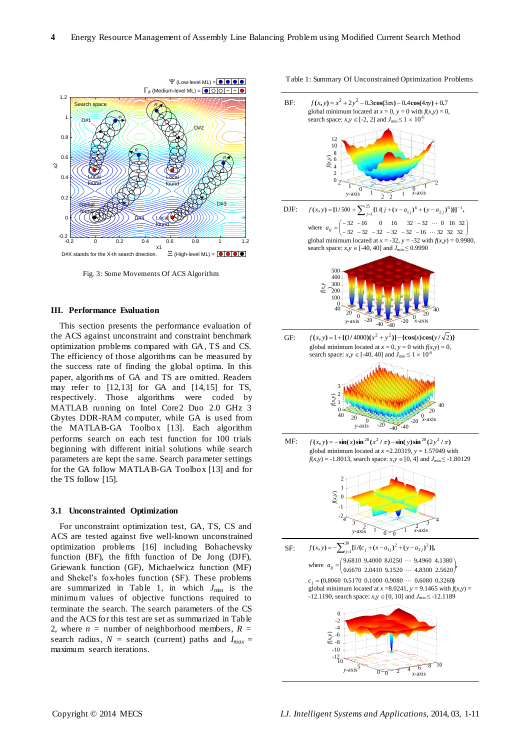

Fig. 3: Some Movements Of ACS Algorithm

## **III. Performance Evaluation**

This section presents the performance evaluation of the ACS against unconstraint and constraint benchmark optimization problems compared with GA, TS and CS. The efficiency of those algorithms can be measured by the success rate of finding the global optima. In this paper, algorithms of GA and TS are omitted. Readers may refer to [12,13] for GA and [14,15] for TS, respectively. Those algorithms were coded by MATLAB running on Intel Core2 Duo 2.0 GHz 3 Gbytes DDR-RAM computer, while GA is used from the MATLAB-GA Toolbox [13]. Each algorithm performs search on each test function for 100 trials beginning with different initial solutions while search parameters are kept the same. Search parameter settings for the GA follow MATLAB-GA Toolbox [13] and for the TS follow [15].

#### **3.1 Unconstrainted Optimization**

For unconstraint optimization test, GA, TS, CS and ACS are tested against five well-known unconstrained optimization problems [16] including Bohachevsky function (BF), the fifth function of De Jong (DJF), Griewank function (GF), Michaelwicz function (MF) and Shekel's fox-holes function (SF). These problems are summarized in Table 1, in which  $J_{\text{min}}$  is the minimum values of objective functions required to terminate the search. The search parameters of the CS and the ACS for this test are set as summarized in Table 2, where  $n =$  number of neighborhood members,  $R =$ search radius,  $N =$  search (current) paths and  $I_{max} =$ maximum search iterations.



Table 1: Summary Of Unconstrained Optimization Problems

y-axi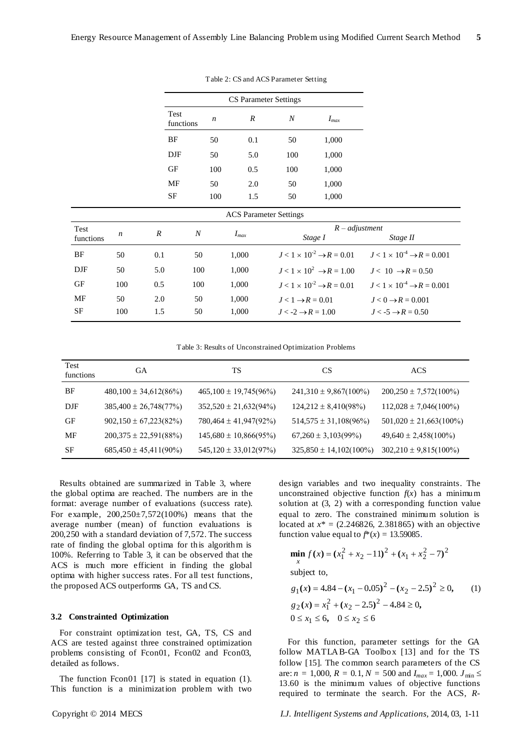|            |                  |                  |                   |                  | <b>CS Parameter Settings</b>  |                               |                                             |                                                |
|------------|------------------|------------------|-------------------|------------------|-------------------------------|-------------------------------|---------------------------------------------|------------------------------------------------|
|            |                  |                  | Test<br>functions | $\boldsymbol{n}$ | $\boldsymbol{R}$              | $\boldsymbol{N}$              | $I_{max}$                                   |                                                |
|            |                  |                  | BF                | 50               | 0.1                           | 50                            | 1,000                                       |                                                |
|            |                  |                  | <b>DJF</b>        | 50               | 5.0                           | 100                           | 1,000                                       |                                                |
|            |                  |                  | GF                | 100              | 0.5                           | 100                           | 1,000                                       |                                                |
|            |                  |                  | MF                | 50               | 2.0                           | 50                            | 1,000                                       |                                                |
|            |                  |                  | SF                | 100              | 1.5                           | 50                            | 1,000                                       |                                                |
|            |                  |                  |                   |                  | <b>ACS</b> Parameter Settings |                               |                                             |                                                |
| Test       | $\boldsymbol{n}$ | $\boldsymbol{R}$ | $\boldsymbol{N}$  |                  | $I_{max}$                     |                               | $R$ – adjustment                            |                                                |
| functions  |                  |                  |                   |                  |                               |                               | Stage I                                     | Stage II                                       |
| BF         | 50               | 0.1              | 50                |                  | 1,000                         |                               | $J < 1 \times 10^{-2} \rightarrow R = 0.01$ | $J < 1 \times 10^{-4}$ $\rightarrow$ R = 0.001 |
| <b>DJF</b> | 50               | 5.0              | 100               |                  | 1,000                         |                               | $J < 1 \times 10^2 \rightarrow R = 1.00$    | $J < 10 \rightarrow R = 0.50$                  |
| <b>GF</b>  | 100              | 0.5              | 100               |                  | 1,000                         |                               | $J < 1 \times 10^{-2} \rightarrow R = 0.01$ | $J < 1 \times 10^{-4}$ $\rightarrow$ R = 0.001 |
| MF         | 50               | 2.0              | 50                |                  | 1,000                         | $J < 1 \rightarrow R = 0.01$  |                                             | $J < 0 \rightarrow R = 0.001$                  |
| SF         | 100              | 1.5              | 50                |                  | 1,000                         | $J < -2 \rightarrow R = 1.00$ |                                             | $J < -5 \rightarrow R = 0.50$                  |

Table 2: CS and ACS Parameter Setting

Table 3: Results of Unconstrained Optimization Problems

| Test<br>functions | GА                         | TS                         | CS                          | ACS                         |
|-------------------|----------------------------|----------------------------|-----------------------------|-----------------------------|
| BF                | $480,100 \pm 34,612(86%)$  | $465,100 \pm 19,745(96\%)$ | $241,310 \pm 9,867(100\%)$  | $200,250 \pm 7,572(100\%)$  |
| DJF               | $385,400 \pm 26,748(77\%)$ | $352,520 \pm 21,632(94\%)$ | $124,212 \pm 8,410(98\%)$   | $112,028 \pm 7,046(100\%)$  |
| GF                | $902,150 \pm 67,223(82\%)$ | $780,464 \pm 41,947(92\%)$ | $514,575 \pm 31,108(96\%)$  | $501,020 \pm 21,663(100\%)$ |
| MF                | $200,375 \pm 22,591(88\%)$ | $145,680 \pm 10,866(95\%)$ | $67,260 \pm 3,103(99\%)$    | $49,640 \pm 2,458(100\%)$   |
| SF                | $685,450 \pm 45,411(90\%)$ | $545,120 \pm 33,012(97\%)$ | $325,850 \pm 14,102(100\%)$ | $302,210 \pm 9,815(100\%)$  |

Results obtained are summarized in Table 3, where the global optima are reached. The numbers are in the format: average number of evaluations (success rate). For example, 200,250±7,572(100%) means that the average number (mean) of function evaluations is 200,250 with a standard deviation of 7,572. The success rate of finding the global optima for this algorithm is 100%. Referring to Table 3, it can be observed that the ACS is much more efficient in finding the global optima with higher success rates. For all test functions, the proposed ACS outperforms GA, TS and CS.

## **3.2 Constrainted Optimization**

For constraint optimization test, GA, TS, CS and ACS are tested against three constrained optimization problems consisting of Fcon01, Fcon02 and Fcon03, detailed as follows.

The function Fcon01 [17] is stated in equation (1). This function is a minimization problem with two design variables and two inequality constraints. The unconstrained objective function  $f(x)$  has a minimum solution at (3, 2) with a corresponding function value equal to zero. The constrained minimum solution is located at  $x^* = (2.246826, 2.381865)$  with an objective function value equal to  $f^*(x) = 13.59085$ .

$$
\min_{x} f(x) = (x_1^2 + x_2 - 11)^2 + (x_1 + x_2^2 - 7)^2
$$
  
subject to,  

$$
g_1(x) = 4.84 - (x_1 - 0.05)^2 - (x_2 - 2.5)^2 \ge 0,
$$
 (1)  

$$
g_2(x) = x_1^2 + (x_2 - 2.5)^2 - 4.84 \ge 0,
$$
  

$$
0 \le x_1 \le 6, \quad 0 \le x_2 \le 6
$$

For this function, parameter settings for the GA follow MATLAB-GA Toolbox [13] and for the TS follow [15]. The common search parameters of the CS are:  $n = 1,000$ ,  $R = 0.1$ ,  $N = 500$  and  $I_{max} = 1,000$ .  $J_{min} \le$ 13.60 is the minimum values of objective functions required to terminate the search. For the ACS, *R*-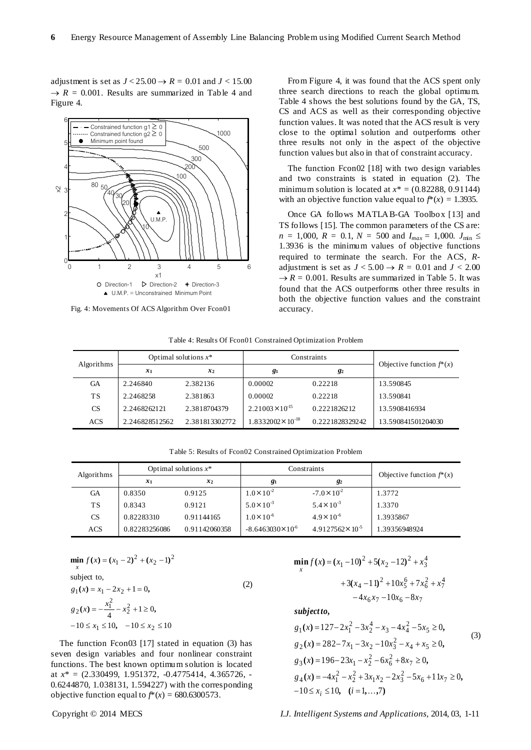adjustment is set as  $J < 25.00 \rightarrow R = 0.01$  and  $J < 15.00$  $\rightarrow R = 0.001$ . Results are summarized in Table 4 and Figure 4.



Fig. 4: Movements Of ACS Algorithm Over Fcon01

From Figure 4, it was found that the ACS spent only three search directions to reach the global optimum. Table 4 shows the best solutions found by the GA, TS, CS and ACS as well as their corresponding objective function values. It was noted that the ACS result is very close to the optimal solution and outperforms other three results not only in the aspect of the objective function values but also in that of constraint accuracy.

The function Fcon02 [18] with two design variables and two constraints is stated in equation (2). The minimum solution is located at  $x^* = (0.82288, 0.91144)$ with an objective function value equal to  $f^*(x) = 1.3935$ .

Once GA follows MATLAB-GA Toolbox [13] and TS follows [15]. The common parameters of the CS are:  $n = 1,000$ ,  $R = 0.1$ ,  $N = 500$  and  $I_{max} = 1,000$ .  $J_{min} \leq$ 1.3936 is the minimum values of objective functions required to terminate the search. For the ACS, *R*adjustment is set as  $J < 5.00 \rightarrow R = 0.01$  and  $J < 2.00$  $\rightarrow$  *R* = 0.001. Results are summarized in Table 5. It was found that the ACS outperforms other three results in both the objective function values and the constraint accuracy.

| Algorithms |                | Optimal solutions $x^*$ |                             | Constraints     |                             |
|------------|----------------|-------------------------|-----------------------------|-----------------|-----------------------------|
|            | $x_1$          | $x_2$                   | $g_1$                       | $g_2$           | Objective function $f^*(x)$ |
| GА         | 2.246840       | 2.382136                | 0.00002                     | 0.22218         | 13.590845                   |
| ТS         | 2.2468258      | 2.381863                | 0.00002                     | 0.22218         | 13.590841                   |
| <b>CS</b>  | 2.2468262121   | 2.3818704379            | $2.21003 \times 10^{15}$    | 0.2221826212    | 13.5908416934               |
| ACS        | 2.246828512562 | 2.381813302772          | $1.8332002 \times 10^{-18}$ | 0.2221828329242 | 13.590841501204030          |

Table 4: Results Of Fcon01 Constrained Optimization Problem

Table 5: Results of Fcon02 Constrained Optimization Problem

| Algorithms | Optimal solutions $x^*$ |               | Constraints              |                            |                             |
|------------|-------------------------|---------------|--------------------------|----------------------------|-----------------------------|
|            | $x_1$<br>$x_2$          |               | $g_1$                    | $g_2$                      | Objective function $f^*(x)$ |
| GA         | 0.8350                  | 0.9125        | $1.0 \times 10^{-2}$     | $-7.0 \times 10^{-2}$      | 1.3772                      |
| TS         | 0.8343                  | 0.9121        | $5.0 \times 10^{-3}$     | $5.4 \times 10^{-3}$       | 1.3370                      |
| <b>CS</b>  | 0.82283310              | 0.91144165    | $1.0 \times 10^{-6}$     | $4.9 \times 10^{-6}$       | 1.3935867                   |
| ACS        | 0.82283256086           | 0.91142060358 | $-8.6463030\times10^{6}$ | $4.9127562 \times 10^{-5}$ | 1.39356948924               |

$$
\min_{x} f(x) = (x_1 - 2)^2 + (x_2 - 1)^2
$$
  
subject to,  

$$
g_1(x) = x_1 - 2x_2 + 1 = 0,
$$
 (2)  

$$
g_2(x) = -\frac{x_1^2}{4} - x_2^2 + 1 \ge 0,
$$
  

$$
-10 \le x_1 \le 10, \quad -10 \le x_2 \le 10
$$

The function Fcon03 [17] stated in equation (3) has seven design variables and four nonlinear constraint functions. The best known optimum solution is located at *x*\* = (2.330499, 1.951372, -0.4775414, 4.365726, - 0.6244870, 1.038131, 1.594227) with the corresponding objective function equal to  $f^*(x) = 680.6300573$ .

$$
\min_{x} f(x) = (x_1 - 10)^2 + 5(x_2 - 12)^2 + x_3^4
$$
  
+ 3(x\_4 - 11)^2 + 10x\_5^6 + 7x\_6^2 + x\_7^4  
- 4x\_6x\_7 - 10x\_6 - 8x\_7

*subject to,*

**min ( ) ( ) ( )**

$$
g_1(x) = 127 - 2x_1^2 - 3x_2^4 - x_3 - 4x_4^2 - 5x_5 \ge 0,
$$
  
\n
$$
g_2(x) = 282 - 7x_1 - 3x_2 - 10x_3^2 - x_4 + x_5 \ge 0,
$$
  
\n
$$
g_3(x) = 196 - 23x_1 - x_2^2 - 6x_6^2 + 8x_7 \ge 0,
$$
  
\n
$$
g_4(x) = -4x_1^2 - x_2^2 + 3x_1x_2 - 2x_3^2 - 5x_6 + 11x_7 \ge 0,
$$
  
\n
$$
-10 \le x_i \le 10, \quad (i = 1, ..., 7)
$$
\n(3)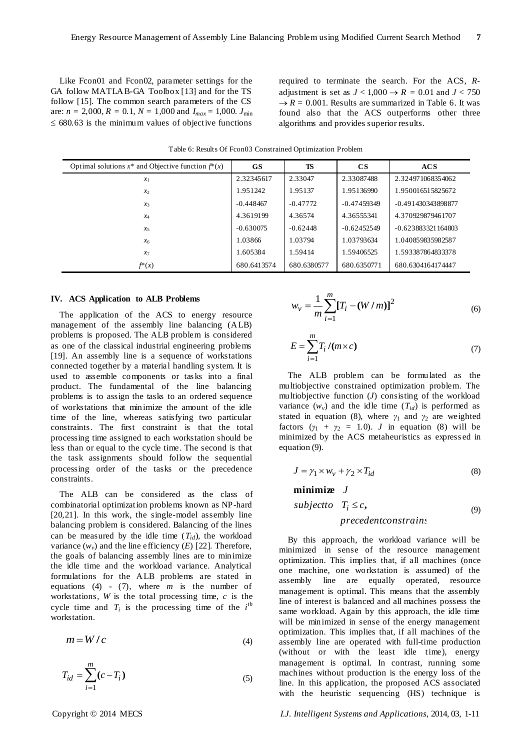Like Fcon01 and Fcon02, parameter settings for the GA follow MATLAB-GA Toolbox [13] and for the TS follow [15]. The common search parameters of the CS are:  $n = 2,000$ ,  $R = 0.1$ ,  $N = 1,000$  and  $I_{max} = 1,000$ .  $J_{min}$  $\leq 680.63$  is the minimum values of objective functions required to terminate the search. For the ACS, *R*adjustment is set as  $J < 1,000 \rightarrow R = 0.01$  and  $J < 750$  $\rightarrow$  *R* = 0.001. Results are summarized in Table 6. It was found also that the ACS outperforms other three algorithms and provides superior results.

Table 6: Results Of Fcon03 Constrained Optimization Problem

| Optimal solutions $x^*$ and Objective function $f^*(x)$ | <b>GS</b>   | TS          | $\mathbf{C}\mathbf{S}$ | <b>ACS</b>           |
|---------------------------------------------------------|-------------|-------------|------------------------|----------------------|
| $\mathcal{X}_1$                                         | 2.32345617  | 2.33047     | 2.33087488             | 2.324971068354062    |
| $\mathcal{X}$                                           | 1.951242    | 1.95137     | 1.95136990             | 1.950016515825672    |
| $\mathcal{X}$ 3                                         | $-0.448467$ | $-0.47772$  | $-0.47459349$          | -0.491430343898877   |
| $x_4$                                                   | 4.3619199   | 4.36574     | 4.36555341             | 4.370929879461707    |
| $x_5$                                                   | $-0.630075$ | $-0.62448$  | $-0.62452549$          | $-0.623883321164803$ |
| $\chi_6$                                                | 1.03866     | 1.03794     | 1.03793634             | 1.040859835982587    |
| $x_7$                                                   | 1.605384    | 1.59414     | 1.59406525             | 1.593387864833378    |
| $f^*(x)$                                                | 680.6413574 | 680.6380577 | 680.6350771            | 680.6304164174447    |

#### **IV. ACS Application to ALB Problems**

The application of the ACS to energy resource management of the assembly line balancing (ALB) problems is proposed. The ALB problem is considered as one of the classical industrial engineering problems [19]. An assembly line is a sequence of workstations connected together by a material handling system. It is used to assemble components or tasks into a final product. The fundamental of the line balancing problems is to assign the tasks to an ordered sequence of workstations that minimize the amount of the idle time of the line, whereas satisfying two particular constraints. The first constraint is that the total processing time assigned to each workstation should be less than or equal to the cycle time. The second is that the task assignments should follow the sequential processing order of the tasks or the precedence constraints.

The ALB can be considered as the class of combinatorial optimization problems known as NP-hard [20,21]. In this work, the single-model assembly line balancing problem is considered. Balancing of the lines can be measured by the idle time  $(T_{id})$ , the workload variance  $(w_v)$  and the line efficiency  $(E)$  [22]. Therefore, the goals of balancing assembly lines are to minimize the idle time and the workload variance. Analytical formulations for the ALB problems are stated in equations (4) - (7), where *m* is the number of workstations, *W* is the total processing time, *c* is the cycle time and  $T_i$  is the processing time of the  $i^{th}$ workstation.

$$
m = W/c \tag{4}
$$

$$
T_{id} = \sum_{i=1}^{m} (c - T_i)
$$
 (5)

$$
w_{v} = \frac{1}{m} \sum_{i=1}^{m} [T_{i} - (W/m)]^{2}
$$
 (6)

$$
E = \sum_{i=1}^{m} T_i / (m \times c) \tag{7}
$$

The ALB problem can be formulated as the multiobjective constrained optimization problem. The multiobjective function (*J*) consisting of the workload variance  $(w_v)$  and the idle time  $(T_{id})$  is performed as stated in equation (8), where  $\gamma_1$  and  $\gamma_2$  are weighted factors  $(y_1 + y_2 = 1.0)$ . *J* in equation (8) will be minimized by the ACS metaheuristics as express ed in equation (9).

$$
J = \gamma_1 \times w_v + \gamma_2 \times T_{id} \tag{8}
$$

**minimize** 
$$
J
$$
  
subject to  $T_i \leq c$ , (9)  
precedentconstrain:

By this approach, the workload variance will be minimized in sense of the resource management optimization. This implies that, if all machines (once one machine, one workstation is assumed) of the assembly line are equally operated, resource management is optimal. This means that the assembly line of interest is balanced and all machines possess the same workload. Again by this approach, the idle time will be minimized in sense of the energy management optimization. This implies that, if all machines of the assembly line are operated with full-time production (without or with the least idle time), energy management is optimal. In contrast, running some machines without production is the energy loss of the line. In this application, the proposed ACS associated with the heuristic sequencing (HS) technique is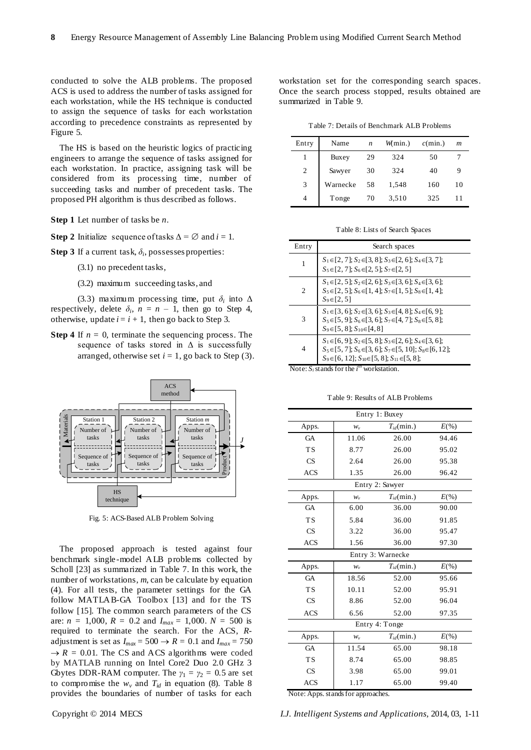conducted to solve the ALB problems. The proposed ACS is used to address the number of tasks assigned for each workstation, while the HS technique is conducted to assign the sequence of tasks for each workstation according to precedence constraints as represented by Figure 5.

The HS is based on the heuristic logics of practicing engineers to arrange the sequence of tasks assigned for each workstation. In practice, assigning task will be considered from its processing time, number of succeeding tasks and number of precedent tasks. The proposed PH algorithm is thus described as follows.

**Step 1** Let number of tasks be *n*.

**Step 2** Initialize sequence of tasks  $\Delta = \emptyset$  and  $i = 1$ .

**Step 3** If a current task,  $\delta_i$ , possesses properties:

(3.1) no precedent tasks,

(3.2) maximum succeeding tasks, and

(3.3) maximum processing time, put  $\delta_i$  into  $\Delta$ respectively, delete  $\delta_i$ ,  $n = n - 1$ , then go to Step 4, otherwise, update  $i = i + 1$ , then go back to Step 3.

**Step 4** If  $n = 0$ , terminate the sequencing process. The sequence of tasks stored in  $\Delta$  is successfully arranged, otherwise set  $i = 1$ , go back to Step (3).



Fig. 5: ACS-Based ALB Problem Solving

The proposed approach is tested against four benchmark single -model ALB problems collected by Scholl [23] as summarized in Table 7. In this work, the number of workstations, *m*, can be calculate by equation (4). For all tests, the parameter settings for the GA follow MATLAB-GA Toolbox [13] and for the TS follow [15]. The common search parameters of the CS are:  $n = 1,000$ ,  $R = 0.2$  and  $I_{max} = 1,000$ .  $N = 500$  is required to terminate the search. For the ACS, *R*adjustment is set as  $I_{max} = 500 \rightarrow R = 0.1$  and  $I_{max} = 750$  $\rightarrow$  *R* = 0.01. The CS and ACS algorithms were coded by MATLAB running on Intel Core2 Duo 2.0 GHz 3 Gbytes DDR-RAM computer. The  $\gamma_1 = \gamma_2 = 0.5$  are set to compromise the  $w_v$  and  $T_{id}$  in equation (8). Table 8 provides the boundaries of number of tasks for each

workstation set for the corresponding search spaces. Once the search process stopped, results obtained are summarized in Table 9.

Table 7: Details of Benchmark ALB Problems

| Entry | Name     | n  | $W$ min.) | $c(\min.)$ | $\boldsymbol{m}$ |
|-------|----------|----|-----------|------------|------------------|
|       | Buxey    | 29 | 324       | 50         |                  |
| 2     | Sawyer   | 30 | 324       | 40         | 9                |
| 3     | Warnecke | 58 | 1,548     | 160        | 10               |
| 4     | Tonge    | 70 | 3,510     | 325        | 11               |

Table 8: Lists of Search Spaces

| Entry | Search spaces                                                                                                                                                                                                         |
|-------|-----------------------------------------------------------------------------------------------------------------------------------------------------------------------------------------------------------------------|
| 1     | $S_1 \in [2, 7]$ ; $S_2 \in [3, 8]$ ; $S_3 \in [2, 6]$ ; $S_4 \in [3, 7]$ ;<br>$S_5 \in [2, 7]; S_6 \in [2, 5]; S_7 \in [2, 5]$                                                                                       |
| 2     | $S_1 \in [2, 5]$ ; $S_2 \in [2, 6]$ ; $S_3 \in [3, 6]$ ; $S_4 \in [3, 6]$ ;<br>$S_5 \in [2, 5]$ ; $S_6 \in [1, 4]$ ; $S_7 \in [1, 5]$ ; $S_8 \in [1, 4]$ ;<br>$S_9 \in [2, 5]$                                        |
| 3     | $S_1 \in [3, 6]$ ; $S_2 \in [3, 6]$ ; $S_3 \in [4, 8]$ ; $S_4 \in [6, 9]$ ;<br>$S_5 \in [5, 9]$ ; $S_6 \in [3, 6]$ ; $S_7 \in [4, 7]$ ; $S_8 \in [5, 8]$ ;<br>$S_9 \in [5, 8]$ ; $S_{10} \in [4, 8]$                  |
| 4     | $S_1 \in [6, 9]$ ; $S_2 \in [5, 8]$ ; $S_3 \in [2, 6]$ ; $S_4 \in [3, 6]$ ;<br>$S_5 \in [5, 7]; S_6 \in [3, 6]; S_7 \in [5, 10]; S_8 \in [6, 12];$<br>$S_9 \in [6, 12]$ ; $S_{10} \in [5, 8]$ ; $S_{11} \in [5, 8]$ ; |

Note:  $S_i$  stands for the  $i^{\text{th}}$  workstation.

Table 9: Results of ALB Problems

| Entry 1: Buxey |         |                       |          |  |
|----------------|---------|-----------------------|----------|--|
| Apps.          | $W_{v}$ | $T_{id}(\text{min.})$ | $E(\% )$ |  |
| <b>GA</b>      | 11.06   | 26.00                 | 94.46    |  |
| <b>TS</b>      | 8.77    | 26.00                 | 95.02    |  |
| CS             | 2.64    | 26.00                 | 95.38    |  |
| <b>ACS</b>     | 1.35    | 26.00                 | 96.42    |  |
|                |         | Entry 2: Sawyer       |          |  |
| Apps.          | $W_v$   | $T_{id}(\text{min.})$ | $E(\% )$ |  |
| <b>GA</b>      | 6.00    | 36.00                 | 90.00    |  |
| <b>TS</b>      | 5.84    | 36.00                 | 91.85    |  |
| CS             | 3.22    | 36.00                 | 95.47    |  |
| <b>ACS</b>     | 1.56    | 36.00                 | 97.30    |  |
|                |         | Entry 3: Warnecke     |          |  |
| Apps.          | $W_v$   | $T_{id}(\text{min.})$ | $E(\% )$ |  |
| <b>GA</b>      | 18.56   | 52.00                 | 95.66    |  |
| <b>TS</b>      | 10.11   | 52.00                 | 95.91    |  |
| CS             | 8.86    | 52.00                 | 96.04    |  |
| <b>ACS</b>     | 6.56    | 52.00                 | 97.35    |  |
|                |         | Entry 4: Tonge        |          |  |
| Apps.          | $W_v$   | $T_{id}(\text{min.})$ | $E(\%)$  |  |
| <b>GA</b>      | 11.54   | 65.00                 | 98.18    |  |
| <b>TS</b>      | 8.74    | 65.00                 | 98.85    |  |
| CS             | 3.98    | 65.00                 | 99.01    |  |
| <b>ACS</b>     | 1.17    | 65.00                 | 99.40    |  |

Note: Apps. stands for approaches.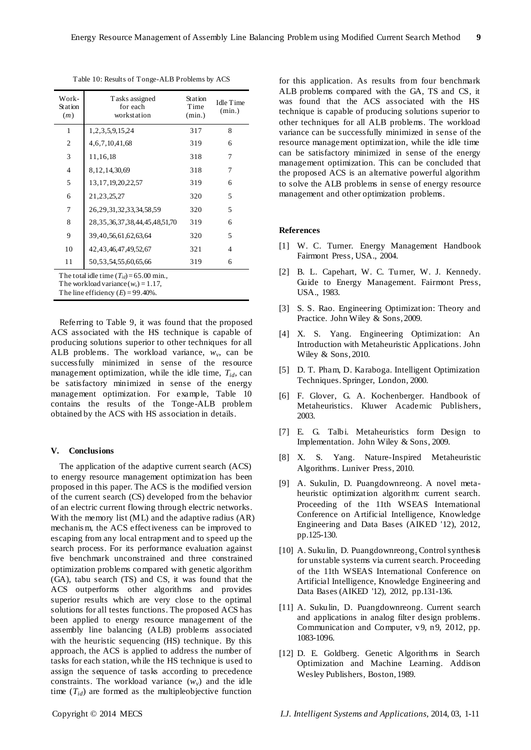| Table 10: Results of Tonge-ALB Problems by ACS |  |  |
|------------------------------------------------|--|--|
|------------------------------------------------|--|--|

| Work-<br>Station<br>(m)    | Tasks assigned<br>for each<br>workstation | <b>Station</b><br>Time<br>(min.) | Idle Time<br>(min.) |  |  |  |
|----------------------------|-------------------------------------------|----------------------------------|---------------------|--|--|--|
| 1                          | 1, 2, 3, 5, 9, 15, 24                     | 317                              | 8                   |  |  |  |
| 2                          | 4, 6, 7, 10, 41, 68                       | 319                              | 6                   |  |  |  |
| 3                          | 11,16,18                                  | 318                              | 7                   |  |  |  |
| 4                          | 8,12,14,30,69                             | 318                              | 7                   |  |  |  |
| 5                          | 13, 17, 19, 20, 22, 57                    | 319                              | 6                   |  |  |  |
| 6                          | 21, 23, 25, 27                            | 320                              | 5                   |  |  |  |
| 7                          | 26, 29, 31, 32, 33, 34, 58, 59            | 320                              | 5                   |  |  |  |
| 8                          | 28, 35, 36, 37, 38, 44, 45, 48, 51, 70    | 319                              | 6                   |  |  |  |
| 9                          | 39, 40, 56, 61, 62, 63, 64                | 320                              | 5                   |  |  |  |
| 10                         | 42, 43, 46, 47, 49, 52, 67                | 321                              | 4                   |  |  |  |
| 11                         | 50, 53, 54, 55, 60, 65, 66                | 319                              | 6                   |  |  |  |
| ти и 1° п. 1° (т.) ст. 00- |                                           |                                  |                     |  |  |  |

The total idle time  $(T_{id}) = 65.00$  min.,

The workload variance  $(w_v) = 1.17$ ,

The line efficiency  $(E) = 99.40\%$ .

Referring to Table 9, it was found that the proposed ACS associated with the HS technique is capable of producing solutions superior to other techniques for all ALB problems. The workload variance,  $w_v$ , can be successfully minimized in sense of the resource management optimization, while the idle time,  $T_{id}$ , can be satisfactory minimized in sense of the energy management optimization. For example, Table 10 contains the results of the Tonge-ALB problem obtained by the ACS with HS association in details.

## **V. Conclusions**

The application of the adaptive current search (ACS) to energy resource management optimization has been proposed in this paper. The ACS is the modified version of the current search (CS) developed from the behavior of an electric current flowing through electric networks. With the memory list (ML) and the adaptive radius (AR) mechanis m, the ACS effectiveness can be improved to escaping from any local entrapment and to speed up the search process. For its performance evaluation against five benchmark unconstrained and three constrained optimization problems compared with genetic algorithm (GA), tabu search (TS) and CS, it was found that the ACS outperforms other algorithms and provides superior results which are very close to the optimal solutions for all testes functions. The proposed ACS has been applied to energy resource management of the assembly line balancing (ALB) problems associated with the heuristic sequencing (HS) technique. By this approach, the ACS is applied to address the number of tasks for each station, while the HS technique is used to assign the sequence of tasks according to precedence constraints. The workload variance  $(w_v)$  and the idle time  $(T_{id})$  are formed as the multipleobjective function

for this application. As results from four benchmark ALB problems compared with the GA, TS and CS, it was found that the ACS associated with the HS technique is capable of producing solutions superior to other techniques for all ALB problems. The workload variance can be successfully minimized in sense of the resource management optimization, while the idle time can be satisfactory minimized in sense of the energy management optimization. This can be concluded that the proposed ACS is an alternative powerful algorithm to solve the ALB problems in sense of energy resource management and other optimization problems.

## **References**

- [1] W. C. Turner. Energy Management Handbook Fairmont Press, USA., 2004.
- [2] B. L. Capehart, W. C. Turner, W. J. Kennedy. Guide to Energy Management. Fairmont Press, USA., 1983.
- [3] S. S. Rao. Engineering Optimization: Theory and Practice. John Wiley & Sons, 2009.
- [4] X. S. Yang. Engineering Optimization: An Introduction with Metaheuristic Applications. John Wiley & Sons, 2010.
- [5] D. T. Pham, D. Karaboga. Intelligent Optimization Techniques. Springer, London, 2000.
- [6] F. Glover, G. A. Kochenberger. Handbook of Metaheuristics. Kluwer Academic Publishers, 2003.
- [7] E. G. Talbi. Metaheuristics form Design to Implementation. John Wiley & Sons, 2009.
- [8] X. S. Yang. Nature-Inspired Metaheuristic Algorithms. Luniver Press, 2010.
- [9] A. Sukulin, D. Puangdownreong. A novel metaheuristic optimization algorithm: current search. Proceeding of the 11th WSEAS International Conference on Artificial Intelligence, Knowledge Engineering and Data Bases (AIKED '12), 2012, pp.125-130.
- [10] A. Sukulin, D. Puangdownreong. Control synthesis for unstable systems via current search. Proceeding of the 11th WSEAS International Conference on Artificial Intelligence, Knowledge Engineering and Data Bases (AIKED '12), 2012, pp.131-136.
- [11] A. Sukulin, D. Puangdownreong. Current search and applications in analog filter design problems. Communication and Computer, v9, n9, 2012, pp. 1083-1096.
- [12] D. E. Goldberg. Genetic Algorithms in Search Optimization and Machine Learning. Addison Wesley Publishers, Boston, 1989.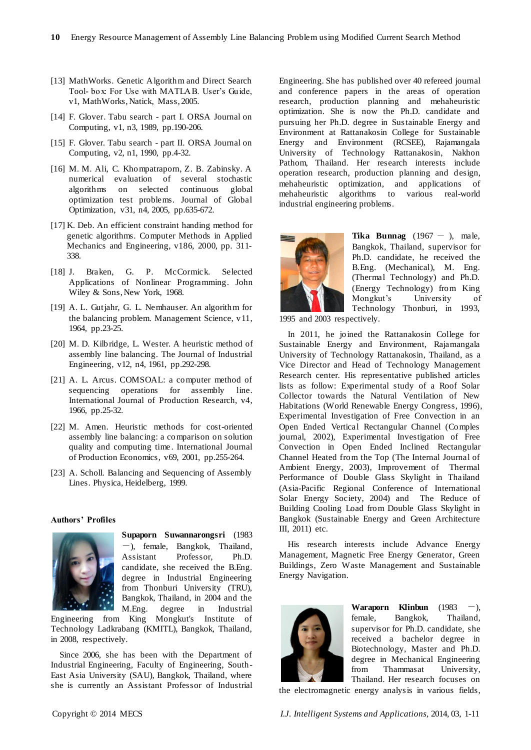- [13] MathWorks. Genetic Algorithm and Direct Search Tool- box: For Use with MATLAB. User's Guide, v1, MathWorks, Natick, Mass, 2005.
- [14] F. Glover. Tabu search part I. ORSA Journal on Computing, v1, n3, 1989, pp.190-206.
- [15] F. Glover. Tabu search part II. ORSA Journal on Computing, v2, n1, 1990, pp.4-32.
- [16] M. M. Ali, C. Khompatraporn, Z. B. Zabinsky. A numerical evaluation of several stochastic algorithms on selected continuous global optimization test problems. Journal of Global Optimization, v31, n4, 2005, pp.635-672.
- [17] K. Deb. An efficient constraint handing method for genetic algorithms. Computer Methods in Applied Mechanics and Engineering, v186, 2000, pp. 311- 338.
- [18] J. Braken, G. P. McCormick. Selected Applications of Nonlinear Programming. John Wiley & Sons, New York, 1968.
- [19] A. L. Gutjahr, G. L. Nemhauser. An algorithm for the balancing problem. Management Science, v11, 1964, pp.23-25.
- [20] M. D. Kilbridge, L. Wester. A heuristic method of assembly line balancing. The Journal of Industrial Engineering, v12, n4, 1961, pp.292-298.
- [21] A. L. Arcus. COMSOAL: a computer method of sequencing operations for assembly line. International Journal of Production Research, v4, 1966, pp.25-32.
- [22] M. Amen. Heuristic methods for cost-oriented assembly line balancing: a comparison on solution quality and computing time . International Journal of Production Economics, v69, 2001, pp.255-264.
- [23] A. Scholl. Balancing and Sequencing of Assembly Lines. Physica, Heidelberg, 1999.

## **Authors' Profiles**



**Supaporn Suwannarongsri** (1983 -), female, Bangkok, Thailand, Assistant Professor, Ph.D. candidate, she received the B.Eng. degree in Industrial Engineering from Thonburi University (TRU), Bangkok, Thailand, in 2004 and the M.Eng. degree in Industrial

Engineering from King Mongkut's Institute of Technology Ladkrabang (KMITL), Bangkok, Thailand, in 2008, respectively.

Since 2006, she has been with the Department of Industrial Engineering, Faculty of Engineering, South-East Asia University (SAU), Bangkok, Thailand, where she is currently an Assistant Professor of Industrial Engineering. She has published over 40 refereed journal and conference papers in the areas of operation research, production planning and mehaheuristic optimization. She is now the Ph.D. candidate and pursuing her Ph.D. degree in Sustainable Energy and Environment at Rattanakosin College for Sustainable Energy and Environment (RCSEE), Rajamangala University of Technology Rattanakosin, Nakhon Pathom, Thailand. Her research interests include operation research, production planning and design, mehaheuristic optimization, and applications of mehaheuristic algorithms to various real-world industrial engineering problems.



**Tika Bunnag**  $(1967 - )$ , male, Bangkok, Thailand, supervisor for Ph.D. candidate, he received the B.Eng. (Mechanical), M. Eng. (Thermal Technology) and Ph.D. (Energy Technology) from King Mongkut's University of Technology Thonburi, in 1993,

1995 and 2003 respectively.

In 2011, he joined the Rattanakosin College for Sustainable Energy and Environment, Rajamangala University of Technology Rattanakosin, Thailand, as a Vice Director and Head of Technology Management Research center. His representative published articles lists as follow: Experimental study of a Roof Solar Collector towards the Natural Ventilation of New Habitations (World Renewable Energy Congress, 1996), Experimental Investigation of Free Convection in an Open Ended Vertical Rectangular Channel (Comples journal, 2002), Experimental Investigation of Free Convection in Open Ended Inclined Rectangular Channel Heated from the Top (The Internal Journal of Ambient Energy, 2003), Improvement of Thermal Performance of Double Glass Skylight in Thailand (Asia-Pacific Regional Conference of International Solar Energy Society, 2004) and The Reduce of Building Cooling Load from Double Glass Skylight in Bangkok (Sustainable Energy and Green Architecture III, 2011) etc.

His research interests include Advance Energy Management, Magnetic Free Energy Generator, Green Buildings, Zero Waste Management and Sustainable Energy Navigation.



**Waraporn Klinbun**  $(1983 -)$ , female, Bangkok, Thailand, supervisor for Ph.D. candidate, she received a bachelor degree in Biotechnology, Master and Ph.D. degree in Mechanical Engineering from Thammasat University, Thailand. Her research focuses on

the electromagnetic energy analysis in various fields,